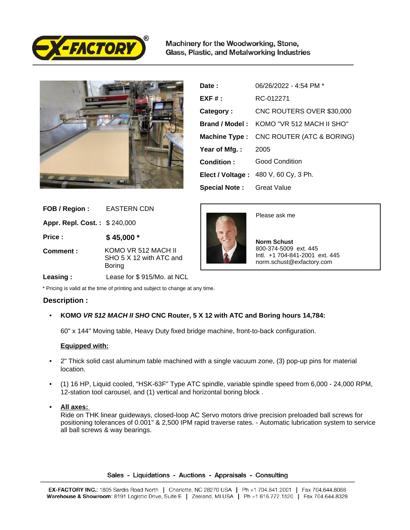

Machinery for the Woodworking, Stone, Glass, Plastic, and Metalworking Industries



| Date:                            | 06/26/2022 - 4:54 PM *                   |
|----------------------------------|------------------------------------------|
| $EXF#$ :                         | RC-012271                                |
| Category:                        | CNC ROUTERS OVER \$30,000                |
|                                  | Brand / Model: KOMO "VR 512 MACH II SHO" |
|                                  | Machine Type : CNC ROUTER (ATC & BORING) |
| Year of Mfg. :                   | 2005                                     |
| Condition:                       | <b>Good Condition</b>                    |
|                                  | Elect / Voltage: 480 V, 60 Cy, 3 Ph.     |
| <b>Special Note:</b> Great Value |                                          |

| FOB / Region:                | <b>EASTERN CDN</b>                                       |
|------------------------------|----------------------------------------------------------|
| Appr. Repl. Cost.: \$240,000 |                                                          |
| Price:                       | $$45,000*$                                               |
| Comment:                     | KOMO VR 512 MACH II<br>SHO 5 X 12 with ATC and<br>Boring |
|                              |                                                          |



Please ask me

 **Norm Schust** 800-374-5009 ext. 445 Intl. +1 704-841-2001 ext. 445 norm.schust@exfactory.com

 **Leasing :** Lease for \$ 915/Mo. at NCL

\* Pricing is valid at the time of printing and subject to change at any time.

## **Description :**

• **KOMO VR 512 MACH II SHO CNC Router, 5 X 12 with ATC and Boring hours 14,784:**

60" x 144" Moving table, Heavy Duty fixed bridge machine, front-to-back configuration.

## **Equipped with:**

- 2" Thick solid cast aluminum table machined with a single vacuum zone, (3) pop-up pins for material location.
- (1) 16 HP, Liquid cooled, "HSK-63F" Type ATC spindle, variable spindle speed from 6,000 24,000 RPM, 12-station tool carousel, and (1) vertical and horizontal boring block .
- **All axes:**

Ride on THK linear guideways, closed-loop AC Servo motors drive precision preloaded ball screws for positioning tolerances of 0.001" & 2,500 IPM rapid traverse rates. - Automatic lubrication system to service all ball screws & way bearings.

#### Sales - Liquidations - Auctions - Appraisals - Consulting